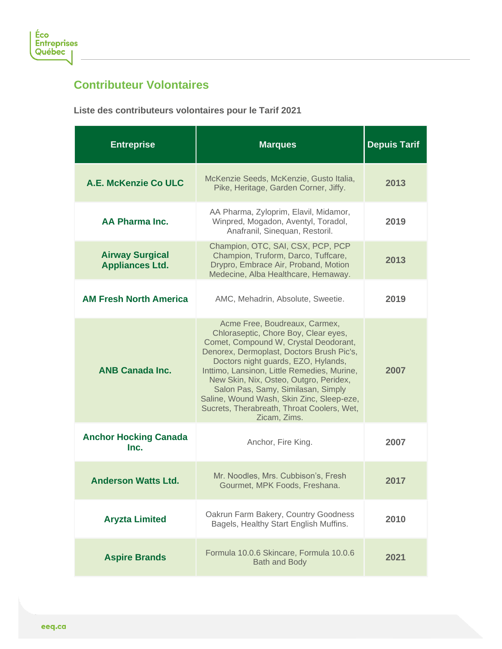

## **Contributeur Volontaires**

**Liste des contributeurs volontaires pour le Tarif 2021**

| <b>Entreprise</b>                                | <b>Marques</b>                                                                                                                                                                                                                                                                                                                                                                                                                               | <b>Depuis Tarif</b> |
|--------------------------------------------------|----------------------------------------------------------------------------------------------------------------------------------------------------------------------------------------------------------------------------------------------------------------------------------------------------------------------------------------------------------------------------------------------------------------------------------------------|---------------------|
| A.E. McKenzie Co ULC                             | McKenzie Seeds, McKenzie, Gusto Italia,<br>Pike, Heritage, Garden Corner, Jiffy.                                                                                                                                                                                                                                                                                                                                                             | 2013                |
| <b>AA Pharma Inc.</b>                            | AA Pharma, Zyloprim, Elavil, Midamor,<br>Winpred, Mogadon, Aventyl, Toradol,<br>Anafranil, Sinequan, Restoril.                                                                                                                                                                                                                                                                                                                               | 2019                |
| <b>Airway Surgical</b><br><b>Appliances Ltd.</b> | Champion, OTC, SAI, CSX, PCP, PCP<br>Champion, Truform, Darco, Tuffcare,<br>Drypro, Embrace Air, Proband, Motion<br>Medecine, Alba Healthcare, Hemaway.                                                                                                                                                                                                                                                                                      | 2013                |
| <b>AM Fresh North America</b>                    | AMC, Mehadrin, Absolute, Sweetie.                                                                                                                                                                                                                                                                                                                                                                                                            | 2019                |
| <b>ANB Canada Inc.</b>                           | Acme Free, Boudreaux, Carmex,<br>Chloraseptic, Chore Boy, Clear eyes,<br>Comet, Compound W, Crystal Deodorant,<br>Denorex, Dermoplast, Doctors Brush Pic's,<br>Doctors night guards, EZO, Hylands,<br>Inttimo, Lansinon, Little Remedies, Murine,<br>New Skin, Nix, Osteo, Outgro, Peridex,<br>Salon Pas, Samy, Similasan, Simply<br>Saline, Wound Wash, Skin Zinc, Sleep-eze,<br>Sucrets, Therabreath, Throat Coolers, Wet,<br>Zicam, Zims. | 2007                |
| <b>Anchor Hocking Canada</b><br>Inc.             | Anchor, Fire King.                                                                                                                                                                                                                                                                                                                                                                                                                           | 2007                |
| <b>Anderson Watts Ltd.</b>                       | Mr. Noodles, Mrs. Cubbison's, Fresh<br>Gourmet, MPK Foods, Freshana.                                                                                                                                                                                                                                                                                                                                                                         | 2017                |
| <b>Aryzta Limited</b>                            | Oakrun Farm Bakery, Country Goodness<br>Bagels, Healthy Start English Muffins.                                                                                                                                                                                                                                                                                                                                                               | 2010                |
| <b>Aspire Brands</b>                             | Formula 10.0.6 Skincare, Formula 10.0.6<br><b>Bath and Body</b>                                                                                                                                                                                                                                                                                                                                                                              | 2021                |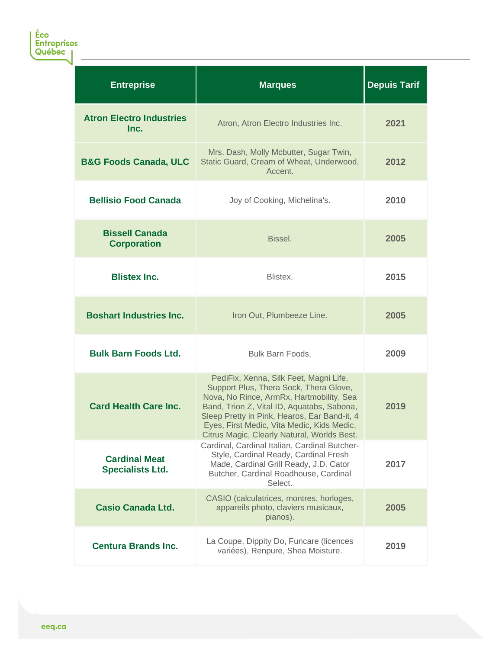| <b>Entreprise</b>                               | <b>Marques</b>                                                                                                                                                                                                                                                                                                          | <b>Depuis Tarif</b> |
|-------------------------------------------------|-------------------------------------------------------------------------------------------------------------------------------------------------------------------------------------------------------------------------------------------------------------------------------------------------------------------------|---------------------|
| <b>Atron Electro Industries</b><br>Inc.         | Atron, Atron Electro Industries Inc.                                                                                                                                                                                                                                                                                    | 2021                |
| <b>B&amp;G Foods Canada, ULC</b>                | Mrs. Dash, Molly Mcbutter, Sugar Twin,<br>Static Guard, Cream of Wheat, Underwood,<br>Accent.                                                                                                                                                                                                                           | 2012                |
| <b>Bellisio Food Canada</b>                     | Joy of Cooking, Michelina's.                                                                                                                                                                                                                                                                                            | 2010                |
| <b>Bissell Canada</b><br><b>Corporation</b>     | Bissel.                                                                                                                                                                                                                                                                                                                 | 2005                |
| <b>Blistex Inc.</b>                             | Blistex.                                                                                                                                                                                                                                                                                                                | 2015                |
| <b>Boshart Industries Inc.</b>                  | Iron Out, Plumbeeze Line.                                                                                                                                                                                                                                                                                               | 2005                |
| <b>Bulk Barn Foods Ltd.</b>                     | Bulk Barn Foods.                                                                                                                                                                                                                                                                                                        | 2009                |
| <b>Card Health Care Inc.</b>                    | PediFix, Xenna, Silk Feet, Magni Life,<br>Support Plus, Thera Sock, Thera Glove,<br>Nova, No Rince, ArmRx, Hartmobility, Sea<br>Band, Trion Z, Vital ID, Aquatabs, Sabona,<br>Sleep Pretty in Pink, Hearos, Ear Band-it, 4<br>Eyes, First Medic, Vita Medic, Kids Medic,<br>Citrus Magic, Clearly Natural, Worlds Best. | 2019                |
| <b>Cardinal Meat</b><br><b>Specialists Ltd.</b> | Cardinal, Cardinal Italian, Cardinal Butcher-<br>Style, Cardinal Ready, Cardinal Fresh<br>Made, Cardinal Grill Ready, J.D. Cator<br>Butcher, Cardinal Roadhouse, Cardinal<br>Select.                                                                                                                                    | 2017                |
| <b>Casio Canada Ltd.</b>                        | CASIO (calculatrices, montres, horloges,<br>appareils photo, claviers musicaux,<br>pianos).                                                                                                                                                                                                                             | 2005                |
| <b>Centura Brands Inc.</b>                      | La Coupe, Dippity Do, Funcare (licences<br>variées), Renpure, Shea Moisture.                                                                                                                                                                                                                                            | 2019                |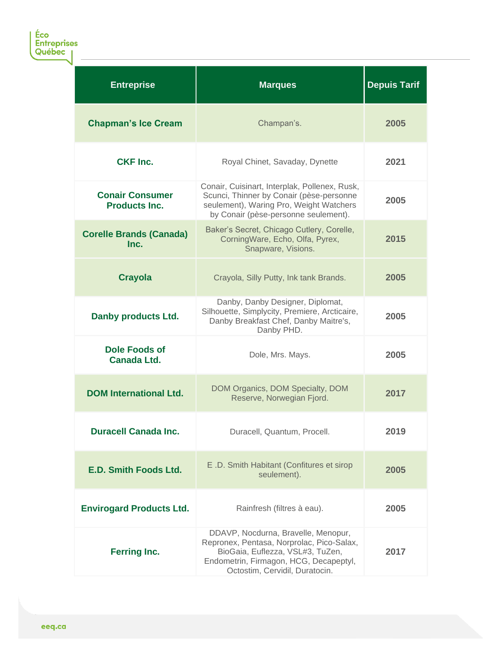Éco<br>Entreprises<br>Québec <sub>|</sub>

| <b>Entreprise</b>                              | <b>Marques</b>                                                                                                                                                                                   | <b>Depuis Tarif</b> |
|------------------------------------------------|--------------------------------------------------------------------------------------------------------------------------------------------------------------------------------------------------|---------------------|
| <b>Chapman's Ice Cream</b>                     | Champan's.                                                                                                                                                                                       | 2005                |
| <b>CKF Inc.</b>                                | Royal Chinet, Savaday, Dynette                                                                                                                                                                   | 2021                |
| <b>Conair Consumer</b><br><b>Products Inc.</b> | Conair, Cuisinart, Interplak, Pollenex, Rusk,<br>Scunci, Thinner by Conair (pèse-personne<br>seulement), Waring Pro, Weight Watchers<br>by Conair (pèse-personne seulement).                     | 2005                |
| <b>Corelle Brands (Canada)</b><br>Inc.         | Baker's Secret, Chicago Cutlery, Corelle,<br>CorningWare, Echo, Olfa, Pyrex,<br>Snapware, Visions.                                                                                               | 2015                |
| <b>Crayola</b>                                 | Crayola, Silly Putty, Ink tank Brands.                                                                                                                                                           | 2005                |
| <b>Danby products Ltd.</b>                     | Danby, Danby Designer, Diplomat,<br>Silhouette, Simplycity, Premiere, Arcticaire,<br>Danby Breakfast Chef, Danby Maitre's,<br>Danby PHD.                                                         | 2005                |
| <b>Dole Foods of</b><br><b>Canada Ltd.</b>     | Dole, Mrs. Mays.                                                                                                                                                                                 | 2005                |
| <b>DOM International Ltd.</b>                  | DOM Organics, DOM Specialty, DOM<br>Reserve, Norwegian Fjord.                                                                                                                                    | 2017                |
| <b>Duracell Canada Inc.</b>                    | Duracell, Quantum, Procell.                                                                                                                                                                      | 2019                |
| <b>E.D. Smith Foods Ltd.</b>                   | E.D. Smith Habitant (Confitures et sirop<br>seulement).                                                                                                                                          | 2005                |
| <b>Envirogard Products Ltd.</b>                | Rainfresh (filtres à eau).                                                                                                                                                                       | 2005                |
| <b>Ferring Inc.</b>                            | DDAVP, Nocdurna, Bravelle, Menopur,<br>Repronex, Pentasa, Norprolac, Pico-Salax,<br>BioGaia, Euflezza, VSL#3, TuZen,<br>Endometrin, Firmagon, HCG, Decapeptyl,<br>Octostim, Cervidil, Duratocin. | 2017                |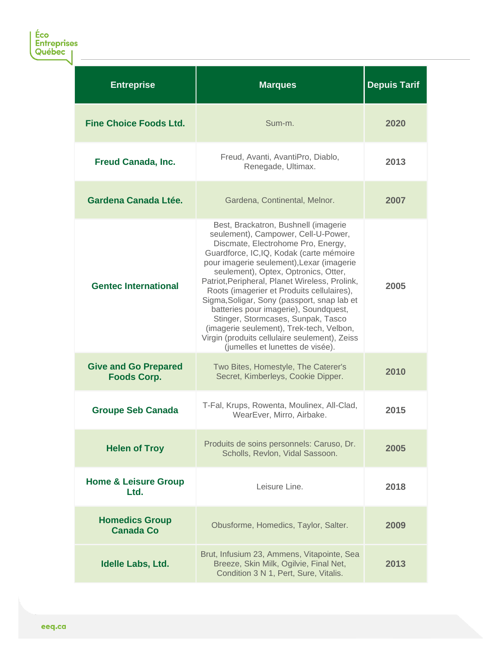| <b>Entreprise</b>                                 | <b>Marques</b>                                                                                                                                                                                                                                                                                                                                                                                                                                                                                                                                                                                                   | <b>Depuis Tarif</b> |
|---------------------------------------------------|------------------------------------------------------------------------------------------------------------------------------------------------------------------------------------------------------------------------------------------------------------------------------------------------------------------------------------------------------------------------------------------------------------------------------------------------------------------------------------------------------------------------------------------------------------------------------------------------------------------|---------------------|
| <b>Fine Choice Foods Ltd.</b>                     | Sum-m.                                                                                                                                                                                                                                                                                                                                                                                                                                                                                                                                                                                                           | 2020                |
| <b>Freud Canada, Inc.</b>                         | Freud, Avanti, AvantiPro, Diablo,<br>Renegade, Ultimax.                                                                                                                                                                                                                                                                                                                                                                                                                                                                                                                                                          | 2013                |
| Gardena Canada Ltée.                              | Gardena, Continental, Melnor.                                                                                                                                                                                                                                                                                                                                                                                                                                                                                                                                                                                    | 2007                |
| <b>Gentec International</b>                       | Best, Brackatron, Bushnell (imagerie<br>seulement), Campower, Cell-U-Power,<br>Discmate, Electrohome Pro, Energy,<br>Guardforce, IC,IQ, Kodak (carte mémoire<br>pour imagerie seulement), Lexar (imagerie<br>seulement), Optex, Optronics, Otter,<br>Patriot, Peripheral, Planet Wireless, Prolink,<br>Roots (imagerier et Produits cellulaires),<br>Sigma, Soligar, Sony (passport, snap lab et<br>batteries pour imagerie), Soundquest,<br>Stinger, Stormcases, Sunpak, Tasco<br>(imagerie seulement), Trek-tech, Velbon,<br>Virgin (produits cellulaire seulement), Zeiss<br>(jumelles et lunettes de visée). | 2005                |
| <b>Give and Go Prepared</b><br><b>Foods Corp.</b> | Two Bites, Homestyle, The Caterer's<br>Secret, Kimberleys, Cookie Dipper.                                                                                                                                                                                                                                                                                                                                                                                                                                                                                                                                        | 2010                |
| <b>Groupe Seb Canada</b>                          | T-Fal, Krups, Rowenta, Moulinex, All-Clad,<br>WearEver, Mirro, Airbake.                                                                                                                                                                                                                                                                                                                                                                                                                                                                                                                                          | 2015                |
| <b>Helen of Troy</b>                              | Produits de soins personnels: Caruso, Dr.<br>Scholls, Revlon, Vidal Sassoon.                                                                                                                                                                                                                                                                                                                                                                                                                                                                                                                                     | 2005                |
| <b>Home &amp; Leisure Group</b><br>Ltd.           | Leisure Line.                                                                                                                                                                                                                                                                                                                                                                                                                                                                                                                                                                                                    | 2018                |
| <b>Homedics Group</b><br><b>Canada Co</b>         | Obusforme, Homedics, Taylor, Salter.                                                                                                                                                                                                                                                                                                                                                                                                                                                                                                                                                                             | 2009                |
| Idelle Labs, Ltd.                                 | Brut, Infusium 23, Ammens, Vitapointe, Sea<br>Breeze, Skin Milk, Ogilvie, Final Net,<br>Condition 3 N 1, Pert, Sure, Vitalis.                                                                                                                                                                                                                                                                                                                                                                                                                                                                                    | 2013                |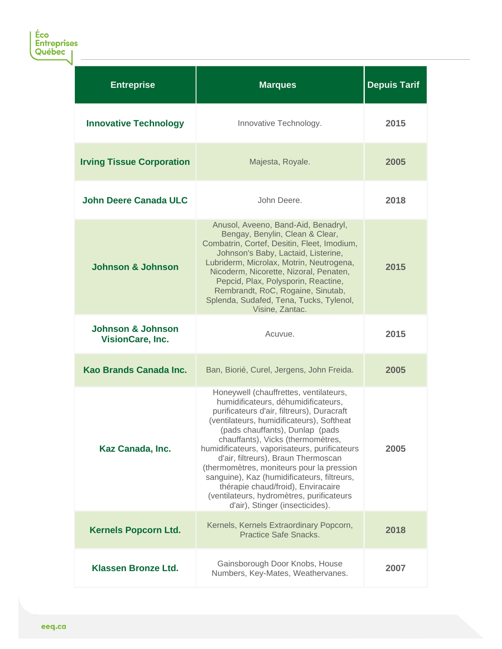| <b>Entreprise</b>                                | <b>Marques</b>                                                                                                                                                                                                                                                                                                                                                                                                                                                                                                                                             | <b>Depuis Tarif</b> |
|--------------------------------------------------|------------------------------------------------------------------------------------------------------------------------------------------------------------------------------------------------------------------------------------------------------------------------------------------------------------------------------------------------------------------------------------------------------------------------------------------------------------------------------------------------------------------------------------------------------------|---------------------|
| <b>Innovative Technology</b>                     | Innovative Technology.                                                                                                                                                                                                                                                                                                                                                                                                                                                                                                                                     | 2015                |
| <b>Irving Tissue Corporation</b>                 | Majesta, Royale.                                                                                                                                                                                                                                                                                                                                                                                                                                                                                                                                           | 2005                |
| <b>John Deere Canada ULC</b>                     | John Deere.                                                                                                                                                                                                                                                                                                                                                                                                                                                                                                                                                | 2018                |
| <b>Johnson &amp; Johnson</b>                     | Anusol, Aveeno, Band-Aid, Benadryl,<br>Bengay, Benylin, Clean & Clear,<br>Combatrin, Cortef, Desitin, Fleet, Imodium,<br>Johnson's Baby, Lactaid, Listerine,<br>Lubriderm, Microlax, Motrin, Neutrogena,<br>Nicoderm, Nicorette, Nizoral, Penaten,<br>Pepcid, Plax, Polysporin, Reactine,<br>Rembrandt, RoC, Rogaine, Sinutab,<br>Splenda, Sudafed, Tena, Tucks, Tylenol,<br>Visine, Zantac.                                                                                                                                                               | 2015                |
| <b>Johnson &amp; Johnson</b><br>VisionCare, Inc. | Acuvue.                                                                                                                                                                                                                                                                                                                                                                                                                                                                                                                                                    | 2015                |
| Kao Brands Canada Inc.                           | Ban, Biorié, Curel, Jergens, John Freida.                                                                                                                                                                                                                                                                                                                                                                                                                                                                                                                  | 2005                |
| Kaz Canada, Inc.                                 | Honeywell (chauffrettes, ventilateurs,<br>humidificateurs, déhumidificateurs,<br>purificateurs d'air, filtreurs), Duracraft<br>(ventilateurs, humidificateurs), Softheat<br>(pads chauffants), Dunlap (pads<br>chauffants), Vicks (thermomètres,<br>humidificateurs, vaporisateurs, purificateurs<br>d'air, filtreurs), Braun Thermoscan<br>(thermomètres, moniteurs pour la pression<br>sanguine), Kaz (humidificateurs, filtreurs,<br>thérapie chaud/froid), Enviracaire<br>(ventilateurs, hydromètres, purificateurs<br>d'air), Stinger (insecticides). | 2005                |
| <b>Kernels Popcorn Ltd.</b>                      | Kernels, Kernels Extraordinary Popcorn,<br><b>Practice Safe Snacks.</b>                                                                                                                                                                                                                                                                                                                                                                                                                                                                                    | 2018                |
| <b>Klassen Bronze Ltd.</b>                       | Gainsborough Door Knobs, House<br>Numbers, Key-Mates, Weathervanes.                                                                                                                                                                                                                                                                                                                                                                                                                                                                                        | 2007                |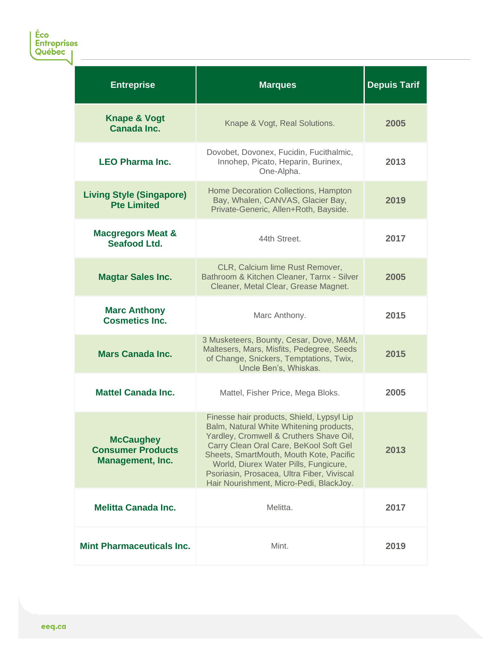Éco<br>Entreprises<br>Québec <sub>|</sub>

| <b>Entreprise</b>                                                       | <b>Marques</b>                                                                                                                                                                                                                                                                                                                                         | <b>Depuis Tarif</b> |
|-------------------------------------------------------------------------|--------------------------------------------------------------------------------------------------------------------------------------------------------------------------------------------------------------------------------------------------------------------------------------------------------------------------------------------------------|---------------------|
| <b>Knape &amp; Vogt</b><br><b>Canada Inc.</b>                           | Knape & Vogt, Real Solutions.                                                                                                                                                                                                                                                                                                                          | 2005                |
| <b>LEO Pharma Inc.</b>                                                  | Dovobet, Dovonex, Fucidin, Fucithalmic,<br>Innohep, Picato, Heparin, Burinex,<br>One-Alpha.                                                                                                                                                                                                                                                            | 2013                |
| <b>Living Style (Singapore)</b><br><b>Pte Limited</b>                   | Home Decoration Collections, Hampton<br>Bay, Whalen, CANVAS, Glacier Bay,<br>Private-Generic, Allen+Roth, Bayside.                                                                                                                                                                                                                                     | 2019                |
| <b>Macgregors Meat &amp;</b><br>Seafood Ltd.                            | 44th Street.                                                                                                                                                                                                                                                                                                                                           | 2017                |
| <b>Magtar Sales Inc.</b>                                                | CLR, Calcium lime Rust Remover,<br>Bathroom & Kitchen Cleaner, Tarnx - Silver<br>Cleaner, Metal Clear, Grease Magnet.                                                                                                                                                                                                                                  | 2005                |
| <b>Marc Anthony</b><br><b>Cosmetics Inc.</b>                            | Marc Anthony.                                                                                                                                                                                                                                                                                                                                          | 2015                |
| <b>Mars Canada Inc.</b>                                                 | 3 Musketeers, Bounty, Cesar, Dove, M&M,<br>Maltesers, Mars, Misfits, Pedegree, Seeds<br>of Change, Snickers, Temptations, Twix,<br>Uncle Ben's, Whiskas.                                                                                                                                                                                               | 2015                |
| <b>Mattel Canada Inc.</b>                                               | Mattel, Fisher Price, Mega Bloks.                                                                                                                                                                                                                                                                                                                      | 2005                |
| <b>McCaughey</b><br><b>Consumer Products</b><br><b>Management, Inc.</b> | Finesse hair products, Shield, Lypsyl Lip<br>Balm, Natural White Whitening products,<br>Yardley, Cromwell & Cruthers Shave Oil,<br>Carry Clean Oral Care, BeKool Soft Gel<br>Sheets, SmartMouth, Mouth Kote, Pacific<br>World, Diurex Water Pills, Fungicure,<br>Psoriasin, Prosacea, Ultra Fiber, Viviscal<br>Hair Nourishment, Micro-Pedi, BlackJoy. | 2013                |
| <b>Melitta Canada Inc.</b>                                              | Melitta.                                                                                                                                                                                                                                                                                                                                               | 2017                |
| <b>Mint Pharmaceuticals Inc.</b>                                        | Mint.                                                                                                                                                                                                                                                                                                                                                  | 2019                |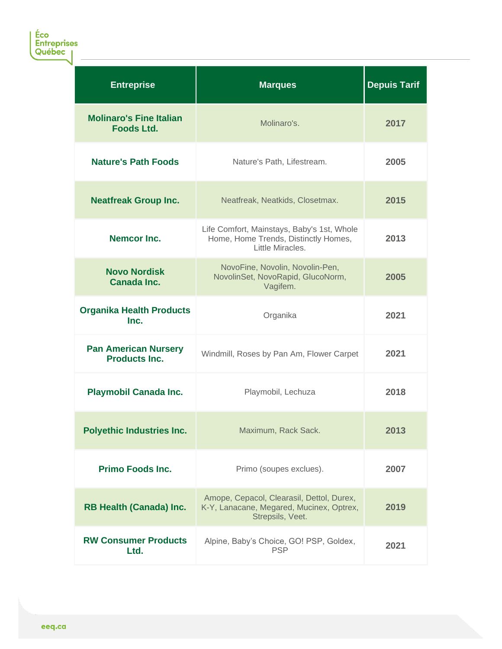| <b>Entreprise</b>                                   | <b>Marques</b>                                                                                            | <b>Depuis Tarif</b> |
|-----------------------------------------------------|-----------------------------------------------------------------------------------------------------------|---------------------|
| <b>Molinaro's Fine Italian</b><br><b>Foods Ltd.</b> | Molinaro's.                                                                                               | 2017                |
| <b>Nature's Path Foods</b>                          | Nature's Path, Lifestream.                                                                                | 2005                |
| <b>Neatfreak Group Inc.</b>                         | Neatfreak, Neatkids, Closetmax.                                                                           | 2015                |
| <b>Nemcor Inc.</b>                                  | Life Comfort, Mainstays, Baby's 1st, Whole<br>Home, Home Trends, Distinctly Homes,<br>Little Miracles.    | 2013                |
| <b>Novo Nordisk</b><br><b>Canada Inc.</b>           | NovoFine, Novolin, Novolin-Pen,<br>NovolinSet, NovoRapid, GlucoNorm,<br>Vagifem.                          | 2005                |
| <b>Organika Health Products</b><br>Inc.             | Organika                                                                                                  | 2021                |
| <b>Pan American Nursery</b><br><b>Products Inc.</b> | Windmill, Roses by Pan Am, Flower Carpet                                                                  | 2021                |
| <b>Playmobil Canada Inc.</b>                        | Playmobil, Lechuza                                                                                        | 2018                |
| <b>Polyethic Industries Inc.</b>                    | Maximum, Rack Sack.                                                                                       | 2013                |
| <b>Primo Foods Inc.</b>                             | Primo (soupes exclues).                                                                                   | 2007                |
| <b>RB Health (Canada) Inc.</b>                      | Amope, Cepacol, Clearasil, Dettol, Durex,<br>K-Y, Lanacane, Megared, Mucinex, Optrex,<br>Strepsils, Veet. | 2019                |
| <b>RW Consumer Products</b><br>Ltd.                 | Alpine, Baby's Choice, GO! PSP, Goldex,<br><b>PSP</b>                                                     | 2021                |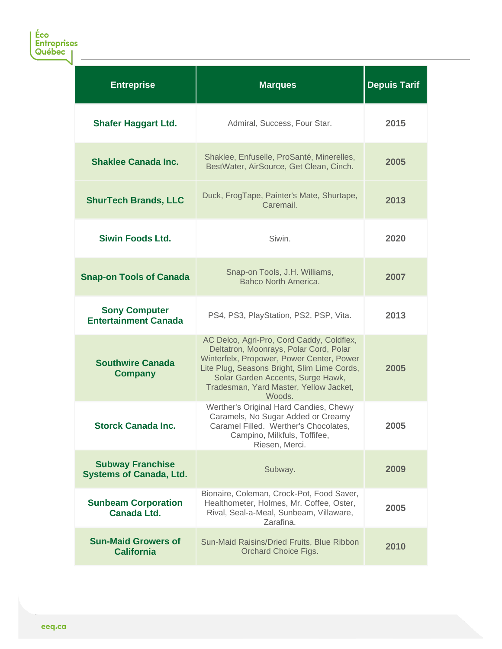| <b>Entreprise</b>                                         | <b>Marques</b>                                                                                                                                                                                                                                                           | <b>Depuis Tarif</b> |
|-----------------------------------------------------------|--------------------------------------------------------------------------------------------------------------------------------------------------------------------------------------------------------------------------------------------------------------------------|---------------------|
| <b>Shafer Haggart Ltd.</b>                                | Admiral, Success, Four Star.                                                                                                                                                                                                                                             | 2015                |
| <b>Shaklee Canada Inc.</b>                                | Shaklee, Enfuselle, ProSanté, Minerelles,<br>BestWater, AirSource, Get Clean, Cinch.                                                                                                                                                                                     | 2005                |
| <b>ShurTech Brands, LLC</b>                               | Duck, FrogTape, Painter's Mate, Shurtape,<br>Caremail.                                                                                                                                                                                                                   | 2013                |
| <b>Siwin Foods Ltd.</b>                                   | Siwin.                                                                                                                                                                                                                                                                   | 2020                |
| <b>Snap-on Tools of Canada</b>                            | Snap-on Tools, J.H. Williams,<br>Bahco North America.                                                                                                                                                                                                                    | 2007                |
| <b>Sony Computer</b><br><b>Entertainment Canada</b>       | PS4, PS3, PlayStation, PS2, PSP, Vita.                                                                                                                                                                                                                                   | 2013                |
| <b>Southwire Canada</b><br><b>Company</b>                 | AC Delco, Agri-Pro, Cord Caddy, Coldflex,<br>Deltatron, Moonrays, Polar Cord, Polar<br>Winterfelx, Propower, Power Center, Power<br>Lite Plug, Seasons Bright, Slim Lime Cords,<br>Solar Garden Accents, Surge Hawk,<br>Tradesman, Yard Master, Yellow Jacket,<br>Woods. | 2005                |
| <b>Storck Canada Inc.</b>                                 | Werther's Original Hard Candies, Chewy<br>Caramels, No Sugar Added or Creamy<br>Caramel Filled. Werther's Chocolates,<br>Campino, Milkfuls, Toffifee,<br>Riesen, Merci.                                                                                                  | 2005                |
| <b>Subway Franchise</b><br><b>Systems of Canada, Ltd.</b> | Subway.                                                                                                                                                                                                                                                                  | 2009                |
| <b>Sunbeam Corporation</b><br><b>Canada Ltd.</b>          | Bionaire, Coleman, Crock-Pot, Food Saver,<br>Healthometer, Holmes, Mr. Coffee, Oster,<br>Rival, Seal-a-Meal, Sunbeam, Villaware,<br>Zarafina.                                                                                                                            | 2005                |
| <b>Sun-Maid Growers of</b><br><b>California</b>           | Sun-Maid Raisins/Dried Fruits, Blue Ribbon<br>Orchard Choice Figs.                                                                                                                                                                                                       | 2010                |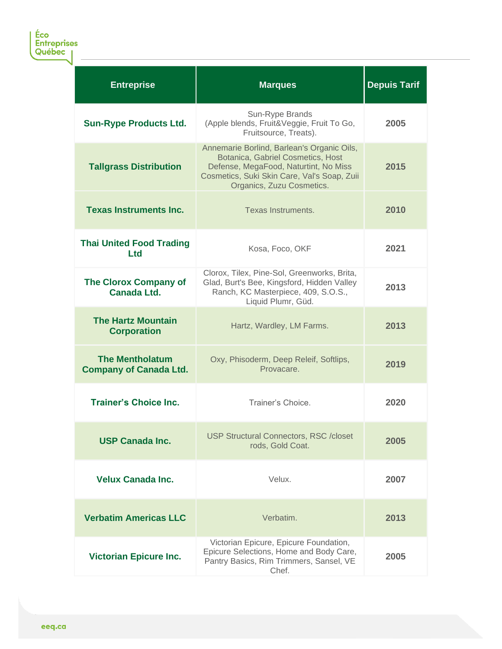| <b>Entreprise</b>                                       | <b>Marques</b>                                                                                                                                                                                       | <b>Depuis Tarif</b> |
|---------------------------------------------------------|------------------------------------------------------------------------------------------------------------------------------------------------------------------------------------------------------|---------------------|
| <b>Sun-Rype Products Ltd.</b>                           | Sun-Rype Brands<br>(Apple blends, Fruit&Veggie, Fruit To Go,<br>Fruitsource, Treats).                                                                                                                | 2005                |
| <b>Tallgrass Distribution</b>                           | Annemarie Borlind, Barlean's Organic Oils,<br>Botanica, Gabriel Cosmetics, Host<br>Defense, MegaFood, Naturtint, No Miss<br>Cosmetics, Suki Skin Care, Val's Soap, Zuii<br>Organics, Zuzu Cosmetics. | 2015                |
| <b>Texas Instruments Inc.</b>                           | Texas Instruments.                                                                                                                                                                                   | 2010                |
| <b>Thai United Food Trading</b><br><b>Ltd</b>           | Kosa, Foco, OKF                                                                                                                                                                                      | 2021                |
| <b>The Clorox Company of</b><br>Canada Ltd.             | Clorox, Tilex, Pine-Sol, Greenworks, Brita,<br>Glad, Burt's Bee, Kingsford, Hidden Valley<br>Ranch, KC Masterpiece, 409, S.O.S.,<br>Liquid Plumr, Güd.                                               | 2013                |
| <b>The Hartz Mountain</b><br><b>Corporation</b>         | Hartz, Wardley, LM Farms.                                                                                                                                                                            | 2013                |
| <b>The Mentholatum</b><br><b>Company of Canada Ltd.</b> | Oxy, Phisoderm, Deep Releif, Softlips,<br>Provacare.                                                                                                                                                 | 2019                |
| <b>Trainer's Choice Inc.</b>                            | Trainer's Choice.                                                                                                                                                                                    | 2020                |
| <b>USP Canada Inc.</b>                                  | <b>USP Structural Connectors, RSC /closet</b><br>rods, Gold Coat.                                                                                                                                    | 2005                |
| <b>Velux Canada Inc.</b>                                | Velux.                                                                                                                                                                                               | 2007                |
| <b>Verbatim Americas LLC</b>                            | Verbatim.                                                                                                                                                                                            | 2013                |
| <b>Victorian Epicure Inc.</b>                           | Victorian Epicure, Epicure Foundation,<br>Epicure Selections, Home and Body Care,<br>Pantry Basics, Rim Trimmers, Sansel, VE<br>Chef.                                                                | 2005                |